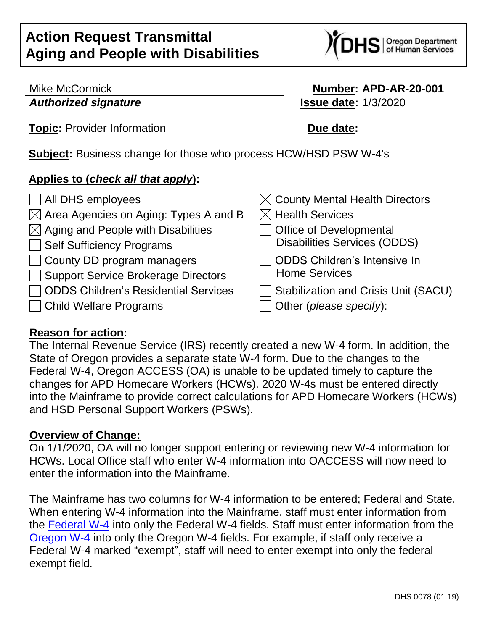S | Oregon Department<br>S | of Human Services

## Mike McCormick **Number: APD-AR-20-001** *Authorized signature* **Issue date:** 1/3/2020

**Topic:** Provider Information **Due date:** 

**Subject:** Business change for those who process HCW/HSD PSW W-4's

## **Applies to (***check all that apply***):**

| All DHS employees                                 | $\boxtimes$ County Mental Health Directors  |
|---------------------------------------------------|---------------------------------------------|
| $\boxtimes$ Area Agencies on Aging: Types A and B | $\boxtimes$ Health Services                 |
| $\boxtimes$ Aging and People with Disabilities    | Office of Developmental                     |
| Self Sufficiency Programs                         | <b>Disabilities Services (ODDS)</b>         |
| County DD program managers                        | <b>ODDS Children's Intensive In</b>         |
| Support Service Brokerage Directors               | <b>Home Services</b>                        |
| <b>ODDS Children's Residential Services</b>       | <b>Stabilization and Crisis Unit (SACU)</b> |
| Child Welfare Programs                            | Other (please specify):                     |
|                                                   |                                             |

## **Reason for action:**

The Internal Revenue Service (IRS) recently created a new W-4 form. In addition, the State of Oregon provides a separate state W-4 form. Due to the changes to the Federal W-4, Oregon ACCESS (OA) is unable to be updated timely to capture the changes for APD Homecare Workers (HCWs). 2020 W-4s must be entered directly into the Mainframe to provide correct calculations for APD Homecare Workers (HCWs) and HSD Personal Support Workers (PSWs).

## **Overview of Change:**

On 1/1/2020, OA will no longer support entering or reviewing new W-4 information for HCWs. Local Office staff who enter W-4 information into OACCESS will now need to enter the information into the Mainframe.

The Mainframe has two columns for W-4 information to be entered; Federal and State. When entering W-4 information into the Mainframe, staff must enter information from the [Federal W-4](https://www.irs.gov/pub/irs-pdf/fw4.pdf) into only the Federal W-4 fields. Staff must enter information from the [Oregon](https://www.oregon.gov/DOR/forms/FormsPubs/form-or-W-4_101-402_2020.pdf) W-4 into only the Oregon W-4 fields. For example, if staff only receive a Federal W-4 marked "exempt", staff will need to enter exempt into only the federal exempt field.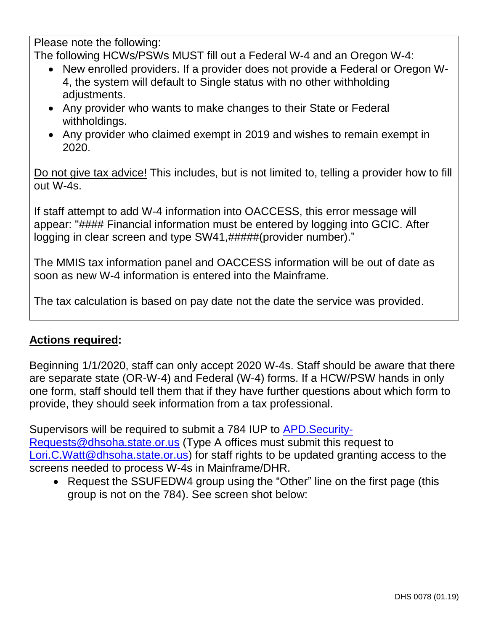Please note the following:

The following HCWs/PSWs MUST fill out a Federal W-4 and an Oregon W-4:

- New enrolled providers. If a provider does not provide a Federal or Oregon W-4, the system will default to Single status with no other withholding adjustments.
- Any provider who wants to make changes to their State or Federal withholdings.
- Any provider who claimed exempt in 2019 and wishes to remain exempt in 2020.

Do not give tax advice! This includes, but is not limited to, telling a provider how to fill out W-4s.

If staff attempt to add W-4 information into OACCESS, this error message will appear: "#### Financial information must be entered by logging into GCIC. After logging in clear screen and type SW41,#####(provider number)."

The MMIS tax information panel and OACCESS information will be out of date as soon as new W-4 information is entered into the Mainframe.

The tax calculation is based on pay date not the date the service was provided.

# **Actions required:**

Beginning 1/1/2020, staff can only accept 2020 W-4s. Staff should be aware that there are separate state (OR-W-4) and Federal (W-4) forms. If a HCW/PSW hands in only one form, staff should tell them that if they have further questions about which form to provide, they should seek information from a tax professional.

Supervisors will be required to submit a 784 IUP to [APD.Security-](mailto:APD.Security-Requests@dhsoha.state.or.us)[Requests@dhsoha.state.or.us](mailto:APD.Security-Requests@dhsoha.state.or.us)</u> (Type A offices must submit this request to [Lori.C.Watt@dhsoha.state.or.us\)](mailto:Lori.C.Watt@dhsoha.state.or.us) for staff rights to be updated granting access to the screens needed to process W-4s in Mainframe/DHR.

• Request the SSUFEDW4 group using the "Other" line on the first page (this group is not on the 784). See screen shot below: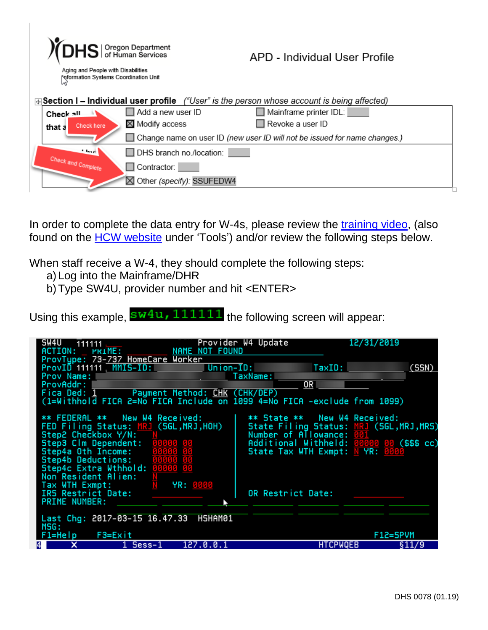| $\frac{1}{2}$ DHS $\frac{10}{{\text{of Human Services}}}$<br>Aging and People with Disabilities<br><b>Noformation Systems Coordination Unit</b> |                             | APD - Individual User Profile                                                                          |  |
|-------------------------------------------------------------------------------------------------------------------------------------------------|-----------------------------|--------------------------------------------------------------------------------------------------------|--|
|                                                                                                                                                 |                             | $\bigoplus$ Section I – Individual user profile ("User" is the person whose account is being affected) |  |
| Check all                                                                                                                                       | $\Box$ Add a new user ID    | Mainframe printer IDL:                                                                                 |  |
| Check here<br>that a                                                                                                                            | $\times$ Modify access      | $\Box$ Revoke a user ID                                                                                |  |
|                                                                                                                                                 |                             | Change name on user ID (new user ID will not be issued for name changes.)                              |  |
| <b>State of P</b>                                                                                                                               | DHS branch no./location:    |                                                                                                        |  |
|                                                                                                                                                 | Contractor:                 |                                                                                                        |  |
|                                                                                                                                                 | ⊠ Other (specify): SSUFEDW4 |                                                                                                        |  |
| Check and Complete                                                                                                                              |                             |                                                                                                        |  |

In order to complete the data entry for W-4s, please review the [training](http://www.dhs.state.or.us/spd/tools/cm/homecare/2020-01-02%2014.39%20W4%20Presentation.mp4) video, (also found on the [HCW website](https://www.dhs.state.or.us/spd/tools/cm/homecare/index.htm) under 'Tools') and/or review the following steps below.

When staff receive a W-4, they should complete the following steps:

- a)Log into the Mainframe/DHR
- b)Type SW4U, provider number and hit <ENTER>

Using this example,  $\frac{\text{sw4u}}{111111}$  the following screen will appear:

| SW4U<br>111111<br>ACTION: PRIME: NAME NOT FOUND                                                                                                                                                                                                | Provider W4 Update |                                                                                                                                                                                      | 12/31/2019 |
|------------------------------------------------------------------------------------------------------------------------------------------------------------------------------------------------------------------------------------------------|--------------------|--------------------------------------------------------------------------------------------------------------------------------------------------------------------------------------|------------|
| ProvType: 73-737 HomeCare Worker<br>ProvID 111111. MMIS-ID: Union-ID:<br>Prov Name: TaxName:<br>ProvAddr:<br>Fica Ded: 1 Payment Method: CHK (CHK/DEP)<br>(1=Withhold FICA 2=No FICA Include on 1099 4=No FICA -exclude from 1099)             |                    | TaxID:<br>$\overline{OR}$                                                                                                                                                            | (SSN)      |
| ** FEDERAL ** New W4 Received:<br>FED Filing Status: MRJ (SGL, MRJ, HOH)<br>Step2 Checkbox Y/N:<br>Step3 Clm Dependent: 00000 00<br>Step4a Oth Income:<br>Step4b Deductions: 00000 00<br>Step4c Extra Wthhold: 00000 00<br>Non Resident Alien: | 00000 00           | ** State ** New W4 Received:<br>State Filing Status: MRJ (SGL, MRJ, MRS)<br>Number of Allowance: 001<br>Additional Withheld: 00000 00 (\$\$\$ cc)<br>State Tax WTH Exmpt: N YR: 0000 |            |
| Tax WTH Exmpt: $N$ YR: 0000<br>IRS Restrict Date:<br><b>PRIME NUMBER:</b>                                                                                                                                                                      |                    | OR Restrict Date:                                                                                                                                                                    |            |
| Last Chg: 2017-03-15 16.47.33 HSHAM01<br>MSG:                                                                                                                                                                                                  |                    |                                                                                                                                                                                      |            |
| $F1 = HeIp$<br>F3=Exit                                                                                                                                                                                                                         |                    |                                                                                                                                                                                      | F12=SPVM   |
| ×<br>1 Sess-1<br>14 I                                                                                                                                                                                                                          | 127.0.0.1          | <b>HTCPWQEB</b>                                                                                                                                                                      | §11/9      |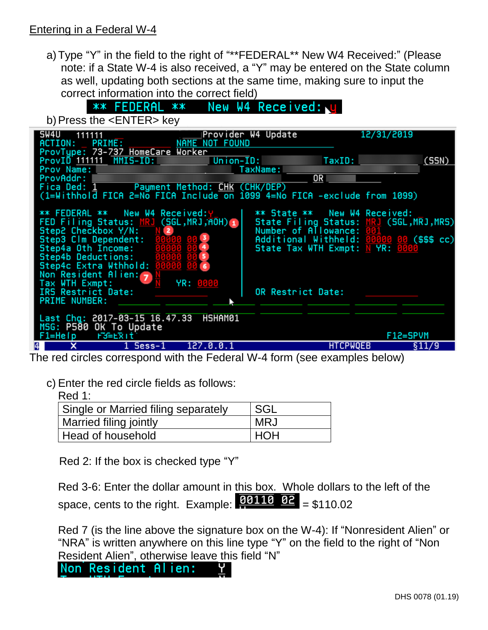## Entering in a Federal W-4

a)Type "Y" in the field to the right of "\*\*FEDERAL\*\* New W4 Received:" (Please note: if a State W-4 is also received, a "Y" may be entered on the State column as well, updating both sections at the same time, making sure to input the correct information into the correct field)

New W4 Received: U \*\* FEDERAL \*\*

b) Press the <ENTER> key

| SW4U<br>111111<br>ACTION:                                                                                                                                                                                                                                                                                                                                                                                                                    | Provider W4 Update | 12/31/2019                                                                                                                                                                           |
|----------------------------------------------------------------------------------------------------------------------------------------------------------------------------------------------------------------------------------------------------------------------------------------------------------------------------------------------------------------------------------------------------------------------------------------------|--------------------|--------------------------------------------------------------------------------------------------------------------------------------------------------------------------------------|
| ProvType: 73-737 HomeCare Worker<br>ProvID 111111 MMIS-ID: Union-ID:<br>Prov Name: William Providence and Contract Contract of the Contract of the Contract of the Contract of the Contract of the Contract of the Contract of the Contract of the Contract of the Contract of the Contract of the Con<br>ProvAddr:<br>Fica Ded: 1 Payment Method: CHK (CHK/DEP)<br>(1=Withhold FICA 2=No FICA Include on 1099 4=No FICA -exclude from 1099) | TaxName:           | TaxID:<br>(SSN)<br>$\overline{OR}$                                                                                                                                                   |
| <b>** FEDERAL ** New W4 Received: Y</b><br>FED Filing Status: MRJ (SGL, MRJ, AOH) 1<br>Step2 Checkbox Y/N: N 2<br>Step3 Clm Dependent: 00000 00 3<br>Step4a Oth Income:<br>Step4b Deductions: 00000 00 5<br>Step4c Extra Wthhold: 00000 00 6<br>Non Resident Alien: $7^{\circ}$                                                                                                                                                              | 00000 00 4         | ** State ** New W4 Received:<br>State Filing Status: MRJ (SGL, MRJ, MRS)<br>Number of Allowance: 001<br>Additional Withheld: 00000 00 (\$\$\$ cc)<br>State Tax WTH Exmpt: N YR: 0000 |
| Tax WTH Exmpt:<br>IRS Restrict Date:<br><b>PRIME NUMBER:</b>                                                                                                                                                                                                                                                                                                                                                                                 | YR: 0000           | OR Restrict Date:                                                                                                                                                                    |
| Last Chg: 2017-03-15 16.47.33<br>MSG: P580 OK To Update<br>$F1 = He/p$ $F3 = E7$                                                                                                                                                                                                                                                                                                                                                             | HSHAM01            | F12=SPVM                                                                                                                                                                             |
| $1$ Sess-1                                                                                                                                                                                                                                                                                                                                                                                                                                   | 127.0.0.1          | <b>HTCPWQEB</b><br>§11/9                                                                                                                                                             |

The red circles correspond with the Federal W-4 form (see examples below)

c) Enter the red circle fields as follows:

Red 1:

| Single or Married filing separately | SGL |
|-------------------------------------|-----|
| Married filing jointly              | MRJ |
| Head of household                   | HOH |

Red 2: If the box is checked type "Y"

Red 3-6: Enter the dollar amount in this box. Whole dollars to the left of the space, cents to the right. Example:  $\frac{90110}{22} = $110.02$ 

Red 7 (is the line above the signature box on the W-4): If "Nonresident Alien" or "NRA" is written anywhere on this line type "Y" on the field to the right of "Non Resident Alien", otherwise leave this field "N"

Non Resident Alien: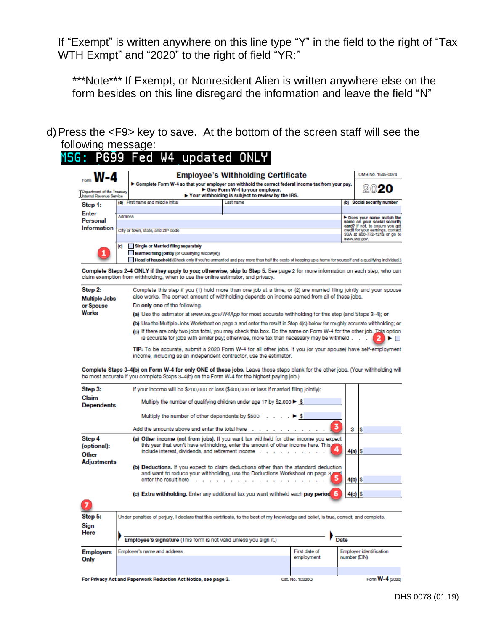If "Exempt" is written anywhere on this line type "Y" in the field to the right of "Tax WTH Exmpt" and "2020" to the right of field "YR:"

\*\*\*Note\*\*\* If Exempt, or Nonresident Alien is written anywhere else on the form besides on this line disregard the information and leave the field "N"

d)Press the <F9> key to save. At the bottom of the screen staff will see the following message:<br>MSG: P699 Fed

| W-4                                                    |                | <b>Employee's Withholding Certificate</b>                                                                                                                                                                                                                                                                                 |                                                                 | OMB No. 1545-0074                                                 |
|--------------------------------------------------------|----------------|---------------------------------------------------------------------------------------------------------------------------------------------------------------------------------------------------------------------------------------------------------------------------------------------------------------------------|-----------------------------------------------------------------|-------------------------------------------------------------------|
|                                                        |                | ► Complete Form W-4 so that your employer can withhold the correct federal income tax from your pay.<br>Give Form W-4 to your employer.                                                                                                                                                                                   |                                                                 | 2020                                                              |
| Department of the Treasury<br>Internal Revenue Service |                | $\blacktriangleright$ Your withholding is subject to review by the IRS.                                                                                                                                                                                                                                                   |                                                                 |                                                                   |
| Step 1:                                                |                | (a) First name and middle initial<br>Last name                                                                                                                                                                                                                                                                            |                                                                 | (b) Social security number                                        |
| <b>Enter</b>                                           | <b>Address</b> |                                                                                                                                                                                                                                                                                                                           |                                                                 | Does your name match the                                          |
| Personal<br>Information                                |                |                                                                                                                                                                                                                                                                                                                           | name on your social security<br>card? If not, to ensure you get |                                                                   |
|                                                        |                | City or town, state, and ZIP code                                                                                                                                                                                                                                                                                         |                                                                 | credit for your earnings, contact<br>SSA at 800-772-1213 or go to |
|                                                        | (c)            | Single or Married filing separately                                                                                                                                                                                                                                                                                       |                                                                 | www.ssa.gov.                                                      |
|                                                        |                | Married filing jointly (or Qualifying widow(er))                                                                                                                                                                                                                                                                          |                                                                 |                                                                   |
|                                                        |                | Head of household (Check only if you're unmarried and pay more than half the costs of keeping up a home for yourself and a qualifying individual.)                                                                                                                                                                        |                                                                 |                                                                   |
|                                                        |                | Complete Steps 2–4 ONLY if they apply to you; otherwise, skip to Step 5. See page 2 for more information on each step, who can<br>claim exemption from withholding, when to use the online estimator, and privacy.                                                                                                        |                                                                 |                                                                   |
| Step 2:                                                |                | Complete this step if you (1) hold more than one job at a time, or (2) are married filing jointly and your spouse<br>also works. The correct amount of withholding depends on income earned from all of these jobs.                                                                                                       |                                                                 |                                                                   |
| <b>Multiple Jobs</b><br>or Spouse                      |                | Do only one of the following.                                                                                                                                                                                                                                                                                             |                                                                 |                                                                   |
| Works                                                  |                | (a) Use the estimator at www.irs.gov/W4App for most accurate withholding for this step (and Steps 3–4); or                                                                                                                                                                                                                |                                                                 |                                                                   |
|                                                        |                | (b) Use the Multiple Jobs Worksheet on page 3 and enter the result in Step 4(c) below for roughly accurate withholding; or                                                                                                                                                                                                |                                                                 |                                                                   |
|                                                        |                | (c) If there are only two jobs total, you may check this box. Do the same on Form W-4 for the other job. This option                                                                                                                                                                                                      |                                                                 |                                                                   |
|                                                        |                | is accurate for jobs with similar pay; otherwise, more tax than necessary may be withheld .                                                                                                                                                                                                                               |                                                                 | $\blacksquare$                                                    |
|                                                        |                |                                                                                                                                                                                                                                                                                                                           |                                                                 |                                                                   |
|                                                        |                | TIP: To be accurate, submit a 2020 Form W-4 for all other jobs. If you (or your spouse) have self-employment                                                                                                                                                                                                              |                                                                 |                                                                   |
|                                                        |                | income, including as an independent contractor, use the estimator.                                                                                                                                                                                                                                                        |                                                                 |                                                                   |
|                                                        |                | Complete Steps 3–4(b) on Form W-4 for only ONE of these jobs. Leave those steps blank for the other jobs. (Your withholding will<br>be most accurate if you complete Steps 3–4(b) on the Form W-4 for the highest paying job.)<br>If your income will be \$200,000 or less (\$400,000 or less if married filing jointly): |                                                                 |                                                                   |
| Step 3:<br>Claim<br><b>Dependents</b>                  |                | Multiply the number of qualifying children under age 17 by \$2,000 ▶ \$                                                                                                                                                                                                                                                   |                                                                 |                                                                   |
|                                                        |                | Multiply the number of other dependents by \$500                                                                                                                                                                                                                                                                          |                                                                 |                                                                   |
|                                                        |                | Add the amounts above and enter the total here                                                                                                                                                                                                                                                                            | 3                                                               | 3<br>s                                                            |
| Step 4<br>(optional):<br>Other                         |                | (a) Other income (not from jobs). If you want tax withheld for other income you expect<br>this year that won't have withholding, enter the amount of other income here. This,<br>include interest, dividends, and retirement income                                                                                       |                                                                 | $4(a)$ $S$                                                        |
|                                                        |                | (b) Deductions. If you expect to claim deductions other than the standard deduction<br>and want to reduce your withholding, use the Deductions Worksheet on page 3,<br>enter the result here                                                                                                                              |                                                                 | $4(b)$ $ S$                                                       |
| Adjustments                                            |                |                                                                                                                                                                                                                                                                                                                           |                                                                 |                                                                   |
|                                                        |                | (c) Extra withholding. Enter any additional tax you want withheld each pay period 6                                                                                                                                                                                                                                       |                                                                 | $4(c)$ \$                                                         |
| Step 5:                                                |                | Under penalties of perjury, I declare that this certificate, to the best of my knowledge and belief, is true, correct, and complete.                                                                                                                                                                                      |                                                                 |                                                                   |
| Sign                                                   |                |                                                                                                                                                                                                                                                                                                                           |                                                                 |                                                                   |
|                                                        |                |                                                                                                                                                                                                                                                                                                                           |                                                                 |                                                                   |
| Here<br><b>Employers</b>                               |                | Employee's signature (This form is not valid unless you sign it.)<br>Employer's name and address                                                                                                                                                                                                                          | <b>Date</b><br>First date of                                    | Employer identification                                           |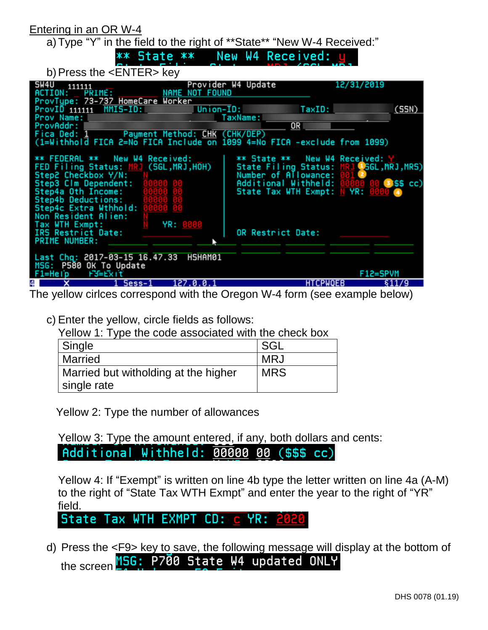| Entering in an OR W-4                                                                                                                                                                                                          |                                                                      |
|--------------------------------------------------------------------------------------------------------------------------------------------------------------------------------------------------------------------------------|----------------------------------------------------------------------|
| a) Type "Y" in the field to the right of **State** "New W-4 Received:"                                                                                                                                                         |                                                                      |
|                                                                                                                                                                                                                                | ** State ** New W4 Received:                                         |
| b) Press the <enter> key</enter>                                                                                                                                                                                               |                                                                      |
| SW4U<br>111111<br>ACTION: PRIME: NAME NOT FOUND                                                                                                                                                                                | Provider W4 Update<br>12/31/2019                                     |
| ProvType: 73-737 HomeCare Worker<br>ProvID 111111 MMIS-ID:                                                                                                                                                                     | TaxID:<br>(SSN)<br>Union-ID:                                         |
| Prov Name: Name: Name and Name and Name and Name and Name and Name and Name and Name and Name and Name and Name and Name and Name and Name and Name and Name and Name and Name and Name and Name and Name and Name and Name an | TaxName:                                                             |
| ProvAddr:<br>Fica Ded: 1 Payment Method: CHK (CHK/DEP)                                                                                                                                                                         | OR                                                                   |
| (1=Withhold FICA 2=No FICA Include on 1099 4=No FICA -exclude from 1099)                                                                                                                                                       |                                                                      |
| ** FEDERAL ** New W4 Received:                                                                                                                                                                                                 | ** State ** New W4 Recejved: Y                                       |
| FED Filing Status: MRJ (SGL, MRJ, HOH)<br>Step2 Checkbox Y/N:                                                                                                                                                                  | State Filing Status: MRJ (SGL, MRJ, MRS)<br>Number of Allowance: 001 |
| Step3 Clm Dependent:                                                                                                                                                                                                           | Additional Withheld: 00000<br>$3$ i\$\$ cc)                          |
| Step4a Oth Income:<br>Step4b Deductions:                                                                                                                                                                                       | State Tax WTH Exmpt: N YR:                                           |
| Step4c Extra Wthhold:<br>Non Resident Alien:                                                                                                                                                                                   |                                                                      |
| YR: 0000<br>Tax WTH Exmpt:                                                                                                                                                                                                     |                                                                      |
| IRS Restrict Date:<br><b>PRIME NUMBER:</b>                                                                                                                                                                                     | OR Restrict Date:                                                    |
|                                                                                                                                                                                                                                |                                                                      |
| Last Chg: 2017-03-15 16.47.33<br>HSHAM01<br>MSG: P580 OK To Update                                                                                                                                                             |                                                                      |
| F3=Exit<br>F1=Help                                                                                                                                                                                                             | F12=SPVM                                                             |
| 4<br>1 Sess-1<br>127.0.0.1                                                                                                                                                                                                     | <b>HTCPWQEB</b><br>\$11/9                                            |

The yellow cirlces correspond with the Oregon W-4 form (see example below)

c) Enter the yellow, circle fields as follows:

Yellow 1: Type the code associated with the check box

| Single                               | SGL        |
|--------------------------------------|------------|
| <b>Married</b>                       | <b>MRJ</b> |
| Married but witholding at the higher | <b>MRS</b> |
| single rate                          |            |

Yellow 2: Type the number of allowances

Yellow 3: Type the amount entered, if any, both dollars and cents:

Additional Withheld: 00000 00 (\$\$\$ cc)

Yellow 4: If "Exempt" is written on line 4b type the letter written on line 4a (A-M) to the right of "State Tax WTH Exmpt" and enter the year to the right of "YR" field.

 $CD: C$ State Tax WTH EXMPT YR:

d) Press the <F9> key to save, the following message will display at the bottom of the screen MSG: P700 State W4 updated ONLY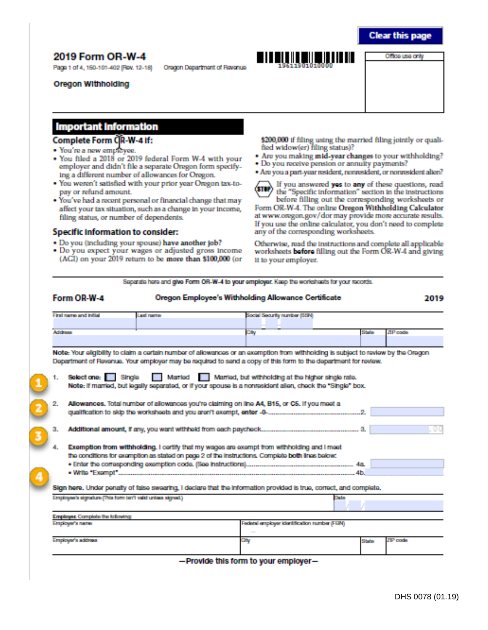### **Clear this page**

## 2019 Form OR-W-4

Page 1 of 4, 150-101-402 (Rev. 12-18)

Oregon Withholding

Oregon Department of Revenue



Office use only

#### **Important Information**

#### Complete Form CR-W-4 If:

- · You're a new employee.
- . You filed a 2018 or 2019 federal Form W-4 with your employer and didn't file a separate Oregon form specifying a different number of allowances for Oregon.
- . You weren't satisfied with your prior year Oregon tax-topay or refund amount.
- . You've had a recent personal or financial change that may affect your tax situation, such as a change in your income, filing status, or number of dependents.

#### Specific information to consider:

- . Do you (including your spouse) have another job?
- · Do you expect your wages or adjusted gross income (ACI) on your 2019 return to be more than \$100,000 (or

\$200,000 if filing using the married filing jointly or qualified widow(er) filing status)?

- . Are you making mid-year changes to your withholding?
- Do you receive pension or annuity payments?
- Are you a part-year resident, nonresident, or nonresident alien?

If you answered yos to any of these questions, read  $300$ the "Specific Information" section in the instructions before filling out the corresponding worksheets or

Form OR-W-4. The online Oregon Withholding Calculator at www.oregon.gov/dor may provide more accurate results. If you use the online calculator, you don't need to complete any of the corresponding worksheets.

Otherwise, read the instructions and complete all applicable worksheets before filling out the Form OR-W-4 and giving it to your employer.

Separate here and give Form OR-W-4 to your employer. Keep the worksheets for your records.

|    | Form OR-W-4                                                 |                  | <b>Oregon Employee's Withholding Allowance Certificate</b>                                                                                                                                                                                                                                                                                                                                                                |         | 2019        |
|----|-------------------------------------------------------------|------------------|---------------------------------------------------------------------------------------------------------------------------------------------------------------------------------------------------------------------------------------------------------------------------------------------------------------------------------------------------------------------------------------------------------------------------|---------|-------------|
|    | First name and initial                                      | <b>Laxi rome</b> | Social Security number (SSN)                                                                                                                                                                                                                                                                                                                                                                                              |         |             |
|    | Address                                                     |                  | City                                                                                                                                                                                                                                                                                                                                                                                                                      | Stole   | 71 Procedur |
|    |                                                             |                  |                                                                                                                                                                                                                                                                                                                                                                                                                           |         |             |
| 1. | Selectione: Single                                          | Married          | Note: Your eligibility to claim a certain number of allowances or an exemption from withholding is subject to review by the Oregon<br>Department of Revenue. Your employer may be required to send a copy of this form to the department for review.<br>Married, but withholding at the higher single rate.<br>Note: if married, but legally separated, or if your spouse is a nonresident allen, check the "Single" box. |         |             |
| 2. |                                                             |                  | Allowances. Total number of allowances you're claiming on line A4, B15, or C5. If you meet a                                                                                                                                                                                                                                                                                                                              |         |             |
| з. |                                                             |                  |                                                                                                                                                                                                                                                                                                                                                                                                                           |         |             |
|    |                                                             |                  | Exemption from withholding. I certify that my wages are exempt from withholding and I meet<br>the conditions for examption as stated on page 2 of the instructions. Complete both lines below:                                                                                                                                                                                                                            |         |             |
|    |                                                             |                  |                                                                                                                                                                                                                                                                                                                                                                                                                           |         |             |
|    |                                                             |                  |                                                                                                                                                                                                                                                                                                                                                                                                                           | .4b.    |             |
|    |                                                             |                  | Sign here. Under penalty of false swearing. I declare that the information provided is true, correct, and complete.                                                                                                                                                                                                                                                                                                       |         |             |
|    | Employee's stonature (This form tan't valid unless stonad.) |                  |                                                                                                                                                                                                                                                                                                                                                                                                                           | Dala    |             |
|    | Employer, Complete the following                            |                  |                                                                                                                                                                                                                                                                                                                                                                                                                           |         |             |
|    | Employer's name                                             |                  | Federal employer identification number (FER4)                                                                                                                                                                                                                                                                                                                                                                             |         |             |
|    | Elementower's auditives.                                    |                  | Œм                                                                                                                                                                                                                                                                                                                                                                                                                        | 5 bela- | ZIP codo    |

-Provide this form to your employer-